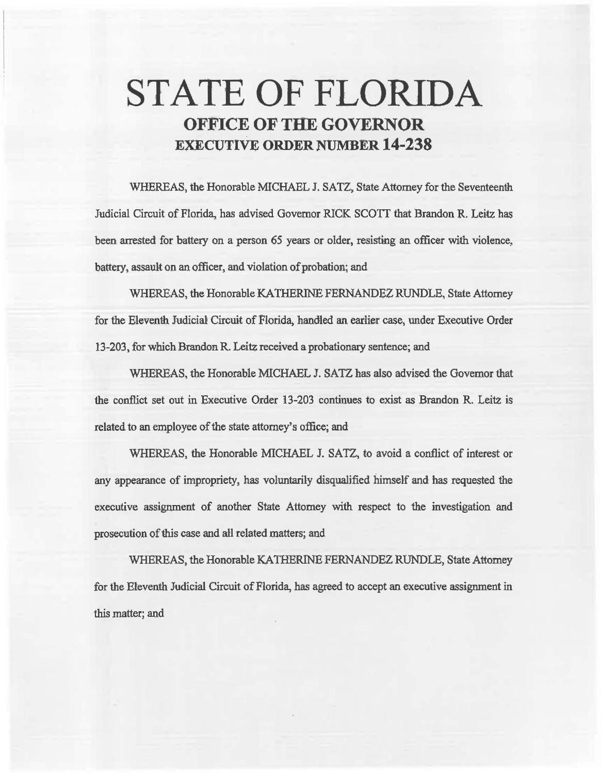## STATE OF FLORIDA OFFICE OF THE GOVERNOR EXECUTIVE ORDER NUMBER 14-238

WHEREAS, the Honorable MICHAEL J. SATZ, State Attorney for the Seventeenth Judicial Circuit of Florida, has advised Governor RICK SCOTT that Brandon R. Leitz has been arrested for battery on a person 65 years or older, resisting an officer with violence, battery, assauk on an officer, and violation of probation; and

WHEREAS, the Honorable KA THERINE FERNANDEZ RUNDLE, State Attorney for the Eleventh Judicial Circuit of Florida, handled an. earlier case, under Executive Order 13-203, for which Brandon R. Leitz received a probationary sentence; and

WHEREAS, the Honorable MICHAEL J. SATZ has also advised the Governor that the conflict set out in Executive Order 13-203 continues to exist as Brandon R. Leitz is related to an employee of the state attorney's office; and

WHEREAS, the Honorable MICHAEL J. SATZ, to avoid a conflict of interest or any appearance of impropriety, has voluntarily disqualified himself and has requested the executive assignment of another State Attorney with respect to the investigation and prosecution of this case and all related matters; and

WHEREAS, the Honorable KA1HERINE FERNANDEZ RUNDLE, State Attorney for the Eleventh Judicial Circuit of Florida, has agreed to accept an executive assignment in this matter; and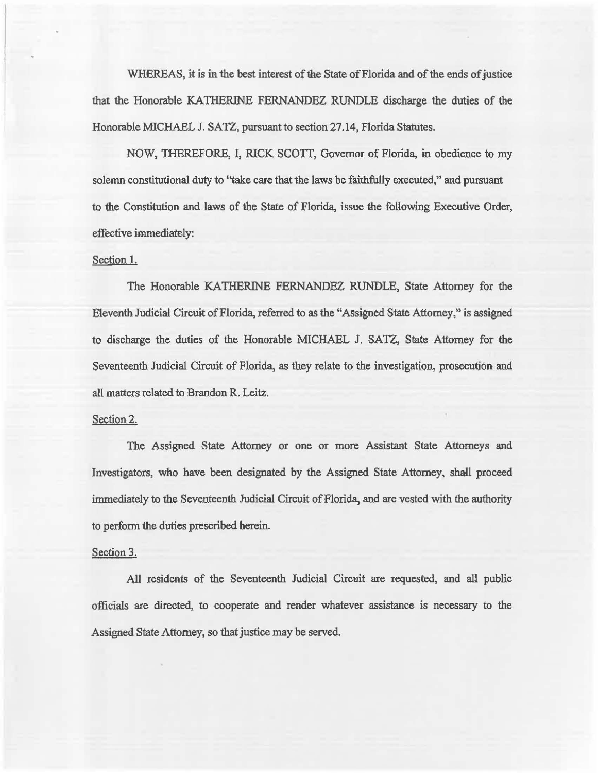WHEREAS, it is in the best interest of the State of Florida and of the ends of justice that the Honorable KATHERINE FERNANDEZ RUNDLE discharge the duties of the Honorable MICHAEL J. SATZ, pursuant to section 27.14, Florida Statutes.

NOW, THEREFORE, I, RICK SCOIT, Governor of Florida, in obedience to my solemn constitutional duty to "take care that the laws be faithfully executed," and pursuant to the Constitution and laws of the State of Florida, issue the following Executive Order, effective immediately:

## Section I.

The Honorable KATHERINE FERNANDEZ RUNDLE, State Attorney for the Eleventh Judicial Circuit of Florida, referred to as the "Assigned State Attorney," is assigned to discharge the duties of the Honorable MICHAEL J. SATZ, State Attorney for the Seventeenth Judicial Circuit of Florida, as they relate to the investigation, prosecution and all matters related to Brandon R. Leitz.

## Section 2.

The Assigned State Attorney or one or more Assistant State Attorneys and Investigators, who have been designated by the Assigned State Attorney, shall proceed immediately to the Seventeenth Judicial Circuit of Florida, and are vested with the authority to perfonn the duties prescribed herein.

## Section 3.

All residents of the Seventeenth Judicial Circuit are requested, and all public officials are directed, to cooperate and render whatever assistance is necessary to the Assigned State Attorney, so that justice may be served.